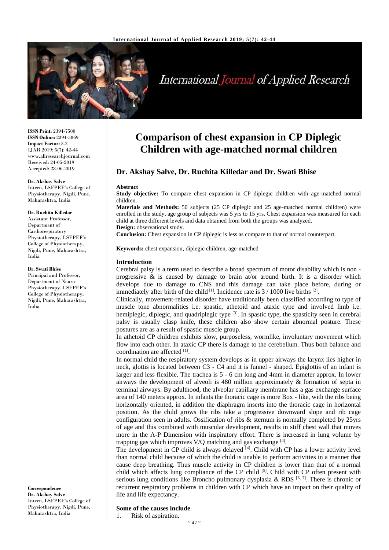

# **International Journal of Applied Research**

**ISSN Print:** 2394-7500 **ISSN Online:** 2394-5869 **Impact Factor:** 5.2 IJAR 2019; 5(7): 42-44 www.allresearchjournal.com Received: 24-05-2019 Accepted: 28-06-2019

#### **Dr. Akshay Salve**

Intern, LSFPEF's College of Physiotherapy, Nigdi, Pune, Maharashtra, India

#### **Dr. Ruchita Killedar**

Assistant Professor, Department of Cardiorespiratory Physiotherapy, LSFPEF's College of Physiotherapy, Nigdi, Pune, Maharashtra, India

#### **Dr. Swati Bhise**

Principal and Professor, Department of Neuro-Physiotherapy, LSFPEF's College of Physiotherapy, Nigdi, Pune, Maharashtra, India

**Correspondence Dr. Akshay Salve** Intern, LSFPEF's College of Physiotherapy, Nigdi, Pune, Maharashtra, India

# **Comparison of chest expansion in CP Diplegic Children with age-matched normal children**

# **Dr. Akshay Salve, Dr. Ruchita Killedar and Dr. Swati Bhise**

#### **Abstract**

**Study objective:** To compare chest expansion in CP diplegic children with age-matched normal children.

**Materials and Methods:** 50 subjects (25 CP diplegic and 25 age-matched normal children) were enrolled in the study, age group of subjects was 5 yrs to 15 yrs. Chest expansion was measured for each child at three different levels and data obtained from both the groups was analyzed. **Design:** observational study.

**Conclusion:** Chest expansion in CP diplegic is less as compare to that of normal counterpart.

**Keywords:** chest expansion, diplegic children, age-matched

#### **Introduction**

Cerebral palsy is a term used to describe a broad spectrum of motor disability which is non progressive  $\&$  is caused by damage to brain at/or around birth. It is a disorder which develops due to damage to CNS and this damage can take place before, during or immediately after birth of the child  $^{[1]}$ . Incidence rate is 3 / 1000 live births  $^{[2]}$ .

Clinically, movement-related disorder have traditionally been classified according to type of muscle tone abnormalities i.e. spastic, athetoid and ataxic type and involved limb i.e. hemiplegic, diplegic, and quadriplegic type  $[3]$ . In spastic type, the spasticity seen in cerebral palsy is usually clasp knife, these children also show certain abnormal posture. These postures are as a result of spastic muscle group.

In athetoid CP children exhibits slow, purposeless, wormlike, involuntary movement which flow into each other. In ataxic CP there is damage to the cerebellum. Thus both balance and coordination are affected [1].

In normal child the respiratory system develops as in upper airways the larynx lies higher in neck, glottis is located between C3 - C4 and it is funnel - shaped. Epiglottis of an infant is larger and less flexible. The trachea is 5 - 6 cm long and 4mm in diameter approx. In lower airways the development of alveoli is 480 million approximately & formation of septa in terminal airways. By adulthood, the alveolar capillary membrane has a gas exchange surface area of 140 meters approx. In infants the thoracic cage is more Box - like, with the ribs being horizontally oriented, in addition the diaphragm inserts into the thoracic cage in horizontal position. As the child grows the ribs take a progressive downward slope and rib cage configuration seen in adults. Ossification of ribs & sternum is normally completed by 25yrs of age and this combined with muscular development, results in stiff chest wall that moves more in the A-P Dimension with inspiratory effort. There is increased in lung volume by trapping gas which improves V/Q matching and gas exchange [4].

The development in CP child is always delayed  $[4]$ . Child with CP has a lower activity level than normal child because of which the child is unable to perform activities in a manner that cause deep breathing. Thus muscle activity in CP children is lower than that of a normal child which affects lung compliance of the CP child <sup>[5]</sup>. Child with CP often present with serious lung conditions like Broncho pulmonary dysplasia & RDS  $[6, 7]$ . There is chronic or recurrent respiratory problems in children with CP which have an impact on their quality of life and life expectancy.

#### **Some of the causes include**

1. Risk of aspiration.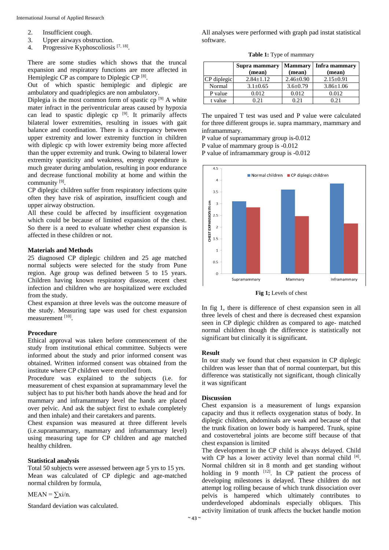- 2. Insufficient cough.<br>3. Upper airways obst
- Upper airways obstruction.
- 4. Progressive Kyphoscoliosis<sup>[7, 18]</sup>.

There are some studies which shows that the truncal expansion and respiratory functions are more affected in Hemiplegic CP as compare to Diplegic CP [8].

Out of which spastic hemiplegic and diplegic are ambulatory and quadriplegics are non ambulatory.

Diplegia is the most common form of spastic cp  $[9]$  A white mater infract in the periventricular areas caused by hypoxia can lead to spastic diplegic cp <sup>[9]</sup>. It primarily affects bilateral lower extremities, resulting in issues with gait balance and coordination. There is a discrepancy between upper extremity and lower extremity function in children with diplegic cp with lower extremity being more affected than the upper extremity and trunk. Owing to bilateral lower extremity spasticity and weakness, energy expenditure is much greater during ambulation, resulting in poor endurance and decrease functional mobility at home and within the community<sup>[9]</sup>.

CP diplegic children suffer from respiratory infections quite often they have risk of aspiration, insufficient cough and upper airway obstruction.

All these could be affected by insufficient oxygenation which could be because of limited expansion of the chest. So there is a need to evaluate whether chest expansion is affected in these children or not.

#### **Materials and Methods**

25 diagnosed CP diplegic children and 25 age matched normal subjects were selected for the study from Pune region. Age group was defined between 5 to 15 years. Children having known respiratory disease, recent chest infection and children who are hospitalized were excluded from the study.

Chest expansion at three levels was the outcome measure of the study. Measuring tape was used for chest expansion measurement [10].

# **Procedure**

Ethical approval was taken before commencement of the study from institutional ethical committee. Subjects were informed about the study and prior informed consent was obtained. Written informed consent was obtained from the institute where CP children were enrolled from.

Procedure was explained to the subjects (i.e. for measurement of chest expansion at supramammary level the subject has to put his/her both hands above the head and for mammary and inframammary level the hands are placed over pelvic. And ask the subject first to exhale completely and then inhale) and their caretakers and parents.

Chest expansion was measured at three different levels (i.e.supramammary, mammary and inframammary level) using measuring tape for CP children and age matched healthy children.

#### **Statistical analysis**

Total 50 subjects were assessed between age 5 yrs to 15 yrs. Mean was calculated of CP diplegic and age-matched normal children by formula,

 $MEAN = \sum x_i/n$ .

Standard deviation was calculated.

All analyses were performed with graph pad instat statistical software.

**Table 1:** Type of mammary

|             | Supra mammary<br>(mean) | <b>Mammary</b><br>(mean) | Infra mammary<br>(mean) |
|-------------|-------------------------|--------------------------|-------------------------|
| CP diplegic | $2.84 \pm 1.12$         | $2.46 \pm 0.90$          | $2.15 \pm 0.91$         |
| Normal      | $3.1 \pm 0.65$          | $3.6 \pm 0.79$           | $3.86 \pm 1.06$         |
| P value     | 0.012                   | 0.012                    | 0.012                   |
| t value     | 0.21                    | 0.21                     | 0.21                    |

The unpaired T test was used and P value were calculated for three different groups ie. supra mammary, mammary and inframammary.

P value of supramammary group is-0.012

P value of mammary group is -0.012

P value of inframammary group is -0.012



**Fig 1;** Levels of chest

In fig 1, there is difference of chest expansion seen in all three levels of chest and there is decreased chest expansion seen in CP diplegic children as compared to age- matched normal children though the difference is statistically not significant but clinically it is significant.

#### **Result**

In our study we found that chest expansion in CP diplegic children was lesser than that of normal counterpart, but this difference was statistically not significant, though clinically it was significant

#### **Discussion**

Chest expansion is a measurement of lungs expansion capacity and thus it reflects oxygenation status of body. In diplegic children, abdominals are weak and because of that the trunk fixation on lower body is hampered. Trunk, spine and costovertebral joints are become stiff because of that chest expansion is limited

The development in the CP child is always delayed. Child with CP has a lower activity level than normal child [4]. Normal children sit in 8 month and get standing without holding in 9 month  $[12]$ . In CP patient the process of developing milestones is delayed. These children do not attempt log rolling because of which trunk dissociation over pelvis is hampered which ultimately contributes to underdeveloped abdominals especially obliques. This activity limitation of trunk affects the bucket handle motion